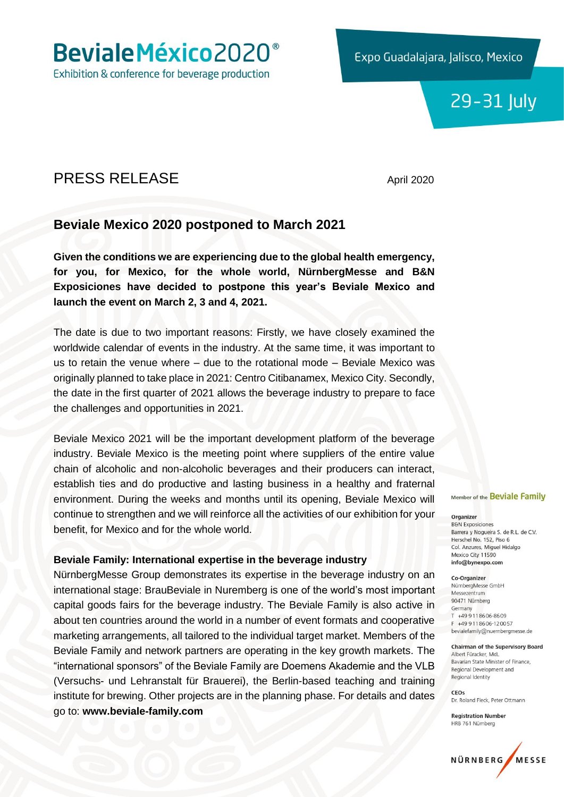Beviale México 2020<sup>®</sup>

Exhibition & conference for beverage production

Expo Guadalajara, Jalisco, Mexico

## 29-31 July

## PRESS RELEASE April 2020

### **Beviale Mexico 2020 postponed to March 2021**

**Given the conditions we are experiencing due to the global health emergency, for you, for Mexico, for the whole world, NürnbergMesse and B&N Exposiciones have decided to postpone this year's Beviale Mexico and launch the event on March 2, 3 and 4, 2021.**

The date is due to two important reasons: Firstly, we have closely examined the worldwide calendar of events in the industry. At the same time, it was important to us to retain the venue where – due to the rotational mode – Beviale Mexico was originally planned to take place in 2021: Centro Citibanamex, Mexico City. Secondly, the date in the first quarter of 2021 allows the beverage industry to prepare to face the challenges and opportunities in 2021.

Beviale Mexico 2021 will be the important development platform of the beverage industry. Beviale Mexico is the meeting point where suppliers of the entire value chain of alcoholic and non-alcoholic beverages and their producers can interact, establish ties and do productive and lasting business in a healthy and fraternal environment. During the weeks and months until its opening, Beviale Mexico will continue to strengthen and we will reinforce all the activities of our exhibition for your benefit, for Mexico and for the whole world.

#### **Beviale Family: International expertise in the beverage industry**

NürnbergMesse Group demonstrates its expertise in the beverage industry on an international stage: BrauBeviale in Nuremberg is one of the world's most important capital goods fairs for the beverage industry. The Beviale Family is also active in about ten countries around the world in a number of event formats and cooperative marketing arrangements, all tailored to the individual target market. Members of the Beviale Family and network partners are operating in the key growth markets. The "international sponsors" of the Beviale Family are Doemens Akademie and the VLB (Versuchs- und Lehranstalt für Brauerei), the Berlin-based teaching and training institute for brewing. Other projects are in the planning phase. For details and dates go to: **www.beviale-family.com**

Member of the Beviale Family

#### Organizer

**B&N Exposiciones** Barrera y Nogueira S. de R.L. de C.V. Herschel No. 152, Piso 6 Col. Anzures, Miguel Hidalgo Mexico City 11590 info@bynexpo.com

#### Co-Organizer

NürnbergMesse GmbH Messezentrum 90471 Nürnberg Germany T +49 9 11 86 06-86 09  $F + 499118606 - 120057$ bevialefamily@nuernbergmesse.de

#### **Chairman of the Supervisory Board** Albert Füracker, MdL Bavarian State Minister of Finance. Regional Development and Regional Identity

CEOS Dr. Roland Fleck, Peter Ottmann

**Registration Number** HRB 761 Nürnberg